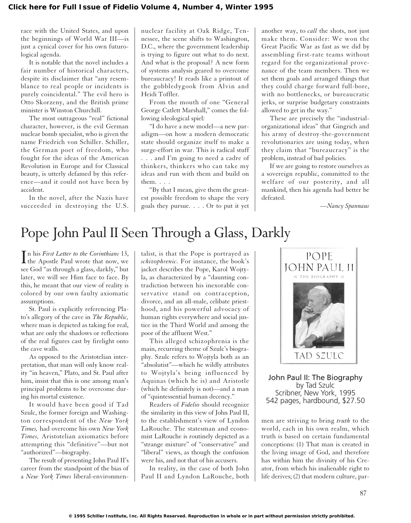race with the United States, and upon the beginnings of World War III—is just a cynical cover for his own futurological agenda.

It is notable that the novel includes a fair number of historical characters, despite its disclaimer that "any resemblance to real people or incidents is purely coincidental." The evil hero is Otto Skorzeny, and the British prime minister is Winston Churchill.

The most outrageous "real" fictional character, however, is the evil German nuclear bomb specialist, who is given the name Friedrich von Schiller. Schiller, the German poet of freedom, who fought for the ideas of the American Revolution in Europe and for Classical beauty, is utterly defamed by this reference—and it could not have been by accident.

In the novel, after the Nazis have succeeded in destroying the U.S.

nuclear facility at Oak Ridge, Tennessee, the scene shifts to Washington, D.C., where the government leadership is trying to figure out what to do next. And what is the proposal? A new form of systems analysis geared to overcome bureaucracy! It reads like a printout of the gobbledygook from Alvin and Heidi Toffler.

From the mouth of one "General George Catlett Marshall," comes the following ideological spiel:

"I do have a new model—a new paradigm—on how a modern democratic state should organize itself to make a surge-effort in war. This is radical stuff . . . and I'm going to need a cadre of thinkers, thinkers who can take my ideas and run with them and build on them. . . .

"By that I mean, give them the greatest possible freedom to shape the very goals they pursue. . . . Or to put it yet

another way, to *call* the shots, not just make them. Consider: We won the Great Pacific War as fast as we did by assembling first-rate teams without regard for the organizational provenance of the team members. Then we set them goals and arranged things that they could charge forward full-bore, with no bottlenecks, or bureaucratic jerks, or surprise budgetary constraints allowed to get in the way."

These are precisely the "industrialorganizational ideas" that Gingrich and his army of destroy-the-government revolutionaries are using today, when they claim that "bureaucracy" is the problem, instead of bad policies.

If we are going to restore ourselves as a sovereign republic, committed to the welfare of our posterity, and all mankind, then his agenda had better be defeated.

*—Nancy Spannaus*

# Pope John Paul II Seen Through a Glass, Darkly

 $\prod$ n his *First Letter to the Corinthians* 13, the Apostle Paul wrote that now, we n his *First Letter to the Corinthians* 13, see God "as through a glass, darkly," but later, we will see Him face to face. By this, he meant that our view of reality is colored by our own faulty axiomatic assumptions.

St. Paul is explicitly referencing Plato's allegory of the cave in *The Republic,* where man is depicted as taking for real, what are only the shadows or reflections of the real figures cast by firelight onto the cave walls.

As opposed to the Aristotelian interpretation, that man will only know reality "in heaven," Plato, and St. Paul after him, insist that this is one among man's principal problems to be overcome during his mortal existence.

It would have been good if Tad Szulc, the former foreign and Washington correspondent of the *New York Times,* had overcome his own *New York Times,* Aristotelian axiomatics before attempting this "definitive"—but not "authorized"—biography.

The result of presenting John Paul II's career from the standpoint of the bias of a *New York Times* liberal-environmen-

talist, is that the Pope is portrayed as *schizophrenic.* For instance, the book's jacket describes the Pope, Karol Wojtyla, as characterized by a "daunting contradiction between his inexorable conservative stand on contraception, divorce, and an all-male, celibate priesthood, and his powerful advocacy of human rights everywhere and social justice in the Third World and among the poor of the affluent West."

This alleged schizophrenia is the main, recurring theme of Szulc's biography. Szulc refers to Wojtyla both as an "absolutist"—which he wildly attributes to Wojtyla's being influenced by Aquinas (which he is) and Aristotle (which he definitely is not)—and a man of "quintessential human decency."

Readers of *Fidelio* should recognize the similarity in this view of John Paul II, to the establishment's view of Lyndon LaRouche. The statesman and economist LaRouche is routinely depicted as a "strange mixture" of "conservative" and "liberal" views, as though the confusion were his, and not that of his accusers.

In reality, in the case of both John Paul II and Lyndon LaRouche, both



John Paul II: The Biography by Tad Szulc Scribner, New York, 1995 542 pages, hardbound, \$27.50

men are striving to bring *truth* to the world, each in his own realm, which truth is based on certain fundamental conceptions: (1) That man is created in the living image of God, and therefore has within him the divinity of his Creator, from which his inalienable right to life derives; (2) that modern culture, par